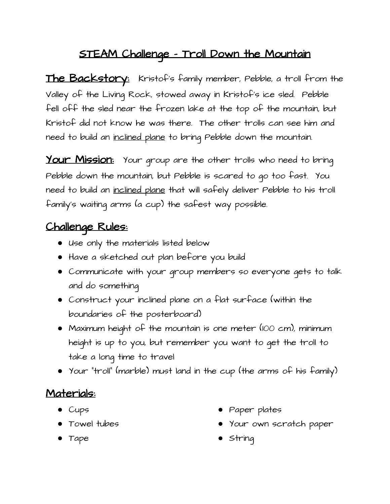## STEAM Challenge - Troll Down the Mountain

The Backstory: Kristof's family member, Pebble, a troll from the Valley of the Living Rock, stowed away in Kristof's ice sled. Pebble fell off the sled near the frozen lake at the top of the mountain, but Kristof did not know he was there. The other trolls can see him and need to build an inclined plane to bring Pebble down the mountain.

Your Mission: Your group are the other trolls who need to bring Pebble down the mountain, but Pebble is scared to go too fast. You need to build an inclined plane that will safely deliver Pebble to his troll family's waiting arms (a cup) the safest way possible.

## Challenge Rules:

- Use only the materials listed below
- Have a sketched out plan before you build
- Communicate with your group members so everyone gets to talk and do something
- Construct your inclined plane on a flat surface (within the boundaries of the posterboard)
- Maximum height of the mountain is one meter (100 cm), minimum height is up to you, but remember you want to get the troll to take a long time to travel
- Your "troll" (marble) must land in the cup (the arms of his family)

## Materials:

- Cups
- Towel tubes
- Tape
- Paper plates
- Your own scratch paper
- String